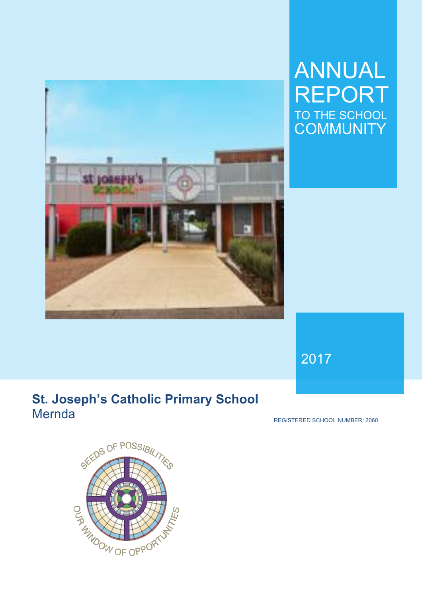

# ANNUAL REPORT TO THE SCHOOL **COMMUNITY**

2017

# **St. Joseph's Catholic Primary School Mernda**

REGISTERED SCHOOL NUMBER: 2060

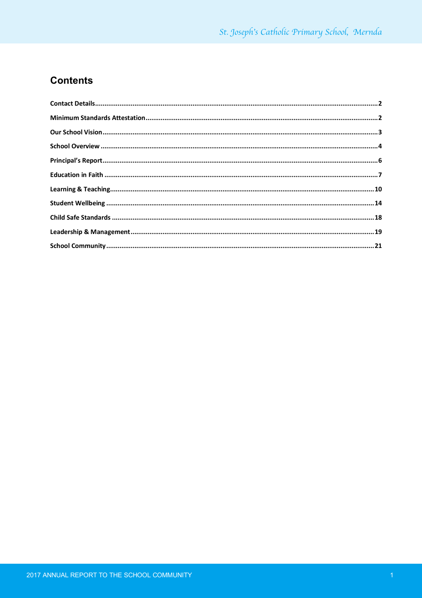## **Contents**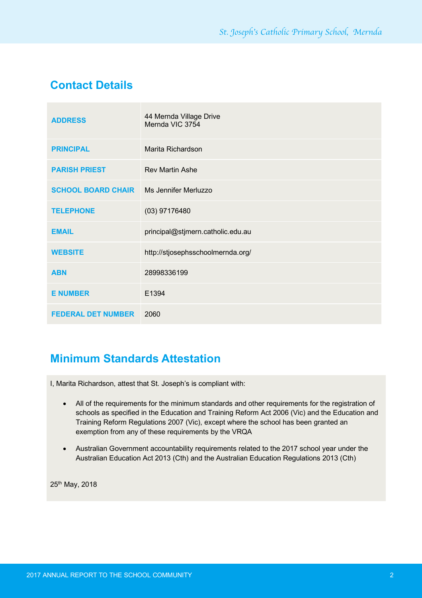# **Contact Details**

| <b>ADDRESS</b>            | 44 Mernda Village Drive<br>Mernda VIC 3754 |
|---------------------------|--------------------------------------------|
| <b>PRINCIPAL</b>          | Marita Richardson                          |
| <b>PARISH PRIEST</b>      | <b>Rev Martin Ashe</b>                     |
| <b>SCHOOL BOARD CHAIR</b> | Ms Jennifer Merluzzo                       |
| <b>TELEPHONE</b>          | (03) 97176480                              |
| <b>EMAIL</b>              | principal@stjmern.catholic.edu.au          |
| <b>WEBSITE</b>            | http://stjosephsschoolmernda.org/          |
| <b>ABN</b>                | 28998336199                                |
| <b>E NUMBER</b>           | E1394                                      |
| <b>FEDERAL DET NUMBER</b> | 2060                                       |

# **Minimum Standards Attestation**

I, Marita Richardson, attest that St. Joseph's is compliant with:

- All of the requirements for the minimum standards and other requirements for the registration of schools as specified in the Education and Training Reform Act 2006 (Vic) and the Education and Training Reform Regulations 2007 (Vic), except where the school has been granted an exemption from any of these requirements by the VRQA
- Australian Government accountability requirements related to the 2017 school year under the Australian Education Act 2013 (Cth) and the Australian Education Regulations 2013 (Cth)

25<sup>th</sup> May, 2018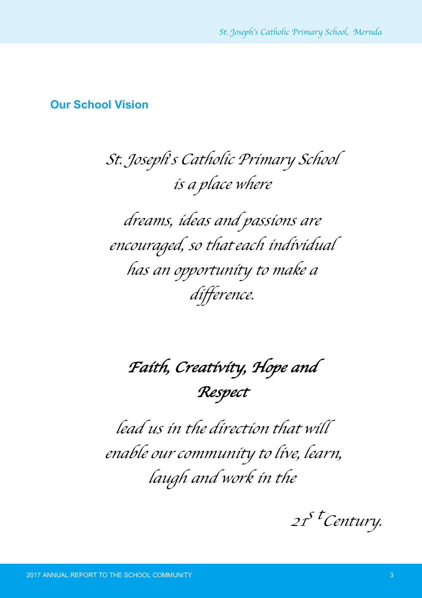## **Our School Vision**

# *St. Joseph*'*<sup>s</sup> Catholic Primary School is <sup>a</sup> place where*

*dreams, ideas and passions are encouraged, so thateach individual has an opportunity to make a difference.*

*Faith, Creativity, Hope and Respect*

*lead us in the direction that will enable our community to live, learn, laugh and work in the*

*21s tCentury.*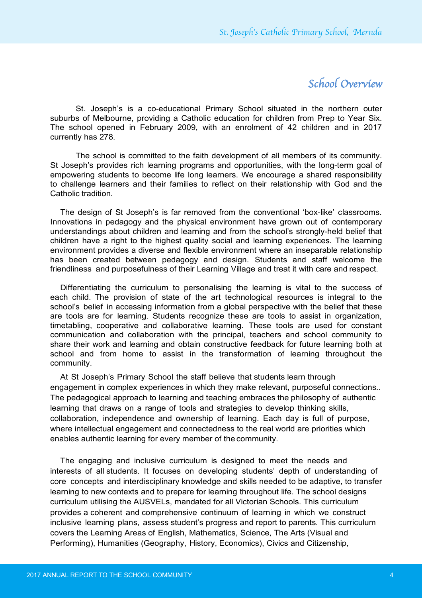## *School Overview*

St. Joseph's is a co-educational Primary School situated in the northern outer suburbs of Melbourne, providing a Catholic education for children from Prep to Year Six. The school opened in February 2009, with an enrolment of 42 children and in 2017 currently has 278.

The school is committed to the faith development of all members of its community. St Joseph's provides rich learning programs and opportunities, with the long-term goal of empowering students to become life long learners. We encourage a shared responsibility to challenge learners and their families to reflect on their relationship with God and the Catholic tradition.

The design of St Joseph's is far removed from the conventional 'box-like' classrooms. Innovations in pedagogy and the physical environment have grown out of contemporary understandings about children and learning and from the school's strongly-held belief that children have a right to the highest quality social and learning experiences. The learning environment provides a diverse and flexible environment where an inseparable relationship has been created between pedagogy and design. Students and staff welcome the friendliness and purposefulness of their Learning Village and treat it with care and respect.

Differentiating the curriculum to personalising the learning is vital to the success of each child. The provision of state of the art technological resources is integral to the school's belief in accessing information from a global perspective with the belief that these are tools are for learning. Students recognize these are tools to assist in organization, timetabling, cooperative and collaborative learning. These tools are used for constant communication and collaboration with the principal, teachers and school community to share their work and learning and obtain constructive feedback for future learning both at school and from home to assist in the transformation of learning throughout the community.

At St Joseph's Primary School the staff believe that students learn through engagement in complex experiences in which they make relevant, purposeful connections.. The pedagogical approach to learning and teaching embraces the philosophy of authentic learning that draws on a range of tools and strategies to develop thinking skills, collaboration, independence and ownership of learning. Each day is full of purpose, where intellectual engagement and connectedness to the real world are priorities which enables authentic learning for every member of the community.

The engaging and inclusive curriculum is designed to meet the needs and interests of all students. It focuses on developing students' depth of understanding of core concepts and interdisciplinary knowledge and skills needed to be adaptive, to transfer learning to new contexts and to prepare for learning throughout life. The school designs curriculum utilising the AUSVELs, mandated for all Victorian Schools. This curriculum provides a coherent and comprehensive continuum of learning in which we construct inclusive learning plans, assess student's progress and report to parents. This curriculum covers the Learning Areas of English, Mathematics, Science, The Arts (Visual and Performing), Humanities (Geography, History, Economics), Civics and Citizenship,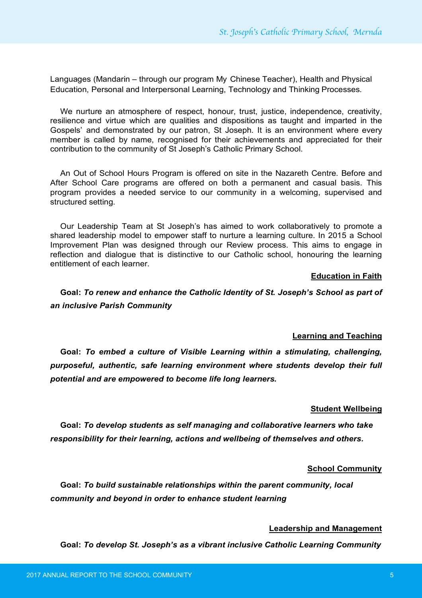Languages (Mandarin – through our program My Chinese Teacher), Health and Physical Education, Personal and Interpersonal Learning, Technology and Thinking Processes.

We nurture an atmosphere of respect, honour, trust, justice, independence, creativity, resilience and virtue which are qualities and dispositions as taught and imparted in the Gospels' and demonstrated by our patron, St Joseph. It is an environment where every member is called by name, recognised for their achievements and appreciated for their contribution to the community of St Joseph's Catholic Primary School.

An Out of School Hours Program is offered on site in the Nazareth Centre. Before and After School Care programs are offered on both a permanent and casual basis. This program provides a needed service to our community in a welcoming, supervised and structured setting.

Our Leadership Team at St Joseph's has aimed to work collaboratively to promote a shared leadership model to empower staff to nurture a learning culture. In 2015 a School Improvement Plan was designed through our Review process. This aims to engage in reflection and dialogue that is distinctive to our Catholic school, honouring the learning entitlement of each learner.

#### **Education in Faith**

**Goal:** *To renew and enhance the Catholic Identity of St. Joseph's School as part of an inclusive Parish Community*

#### **Learning and Teaching**

**Goal:** *To embed a culture of Visible Learning within a stimulating, challenging, purposeful, authentic, safe learning environment where students develop their full potential and are empowered to become life long learners.*

#### **Student Wellbeing**

**Goal:** *To develop students as self managing and collaborative learners who take responsibility for their learning, actions and wellbeing of themselves and others.*

#### **School Community**

**Goal:** *To build sustainable relationships within the parent community, local community and beyond in order to enhance student learning*

#### **Leadership and Management**

**Goal:** *To develop St. Joseph's as a vibrant inclusive Catholic Learning Community*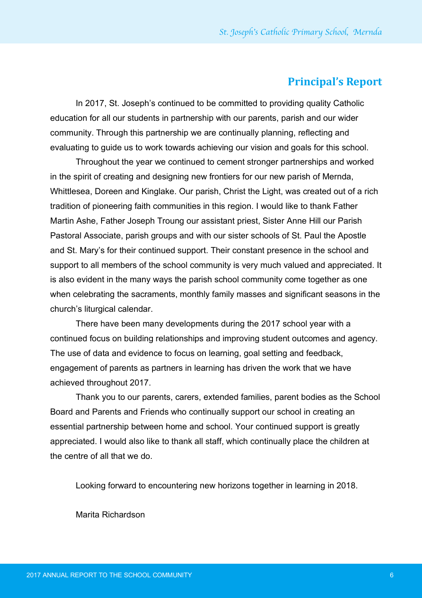## **Principal's Report**

In 2017, St. Joseph's continued to be committed to providing quality Catholic education for all our students in partnership with our parents, parish and our wider community. Through this partnership we are continually planning, reflecting and evaluating to guide us to work towards achieving our vision and goals for this school.

Throughout the year we continued to cement stronger partnerships and worked in the spirit of creating and designing new frontiers for our new parish of Mernda, Whittlesea, Doreen and Kinglake. Our parish, Christ the Light, was created out of a rich tradition of pioneering faith communities in this region. I would like to thank Father Martin Ashe, Father Joseph Troung our assistant priest, Sister Anne Hill our Parish Pastoral Associate, parish groups and with our sister schools of St. Paul the Apostle and St. Mary's for their continued support. Their constant presence in the school and support to all members of the school community is very much valued and appreciated. It is also evident in the many ways the parish school community come together as one when celebrating the sacraments, monthly family masses and significant seasons in the church's liturgical calendar.

There have been many developments during the 2017 school year with a continued focus on building relationships and improving student outcomes and agency. The use of data and evidence to focus on learning, goal setting and feedback, engagement of parents as partners in learning has driven the work that we have achieved throughout 2017.

Thank you to our parents, carers, extended families, parent bodies as the School Board and Parents and Friends who continually support our school in creating an essential partnership between home and school. Your continued support is greatly appreciated. I would also like to thank all staff, which continually place the children at the centre of all that we do.

Looking forward to encountering new horizons together in learning in 2018.

Marita Richardson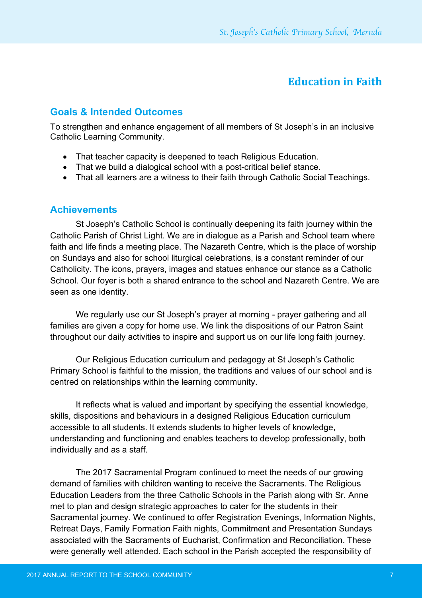## **Education in Faith**

#### **Goals & Intended Outcomes**

To strengthen and enhance engagement of all members of St Joseph's in an inclusive Catholic Learning Community.

- That teacher capacity is deepened to teach Religious Education.
- That we build a dialogical school with a post-critical belief stance.
- That all learners are a witness to their faith through Catholic Social Teachings.

#### **Achievements**

St Joseph's Catholic School is continually deepening its faith journey within the Catholic Parish of Christ Light. We are in dialogue as a Parish and School team where faith and life finds a meeting place. The Nazareth Centre, which is the place of worship on Sundays and also for school liturgical celebrations, is a constant reminder of our Catholicity. The icons, prayers, images and statues enhance our stance as a Catholic School. Our foyer is both a shared entrance to the school and Nazareth Centre. We are seen as one identity.

We regularly use our St Joseph's prayer at morning - prayer gathering and all families are given a copy for home use. We link the dispositions of our Patron Saint throughout our daily activities to inspire and support us on our life long faith journey.

Our Religious Education curriculum and pedagogy at St Joseph's Catholic Primary School is faithful to the mission, the traditions and values of our school and is centred on relationships within the learning community.

It reflects what is valued and important by specifying the essential knowledge, skills, dispositions and behaviours in a designed Religious Education curriculum accessible to all students. It extends students to higher levels of knowledge, understanding and functioning and enables teachers to develop professionally, both individually and as a staff.

The 2017 Sacramental Program continued to meet the needs of our growing demand of families with children wanting to receive the Sacraments. The Religious Education Leaders from the three Catholic Schools in the Parish along with Sr. Anne met to plan and design strategic approaches to cater for the students in their Sacramental journey. We continued to offer Registration Evenings, Information Nights, Retreat Days, Family Formation Faith nights, Commitment and Presentation Sundays associated with the Sacraments of Eucharist, Confirmation and Reconciliation. These were generally well attended. Each school in the Parish accepted the responsibility of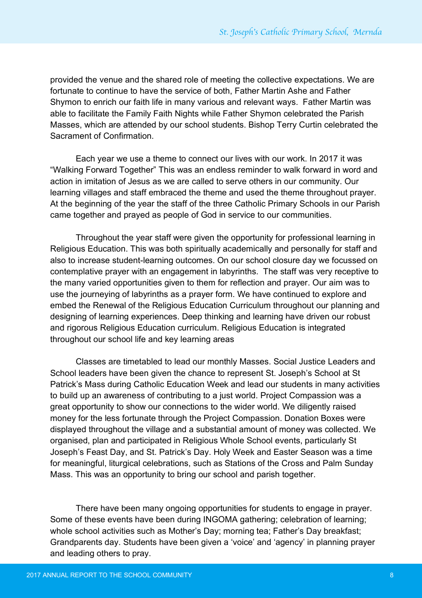provided the venue and the shared role of meeting the collective expectations. We are fortunate to continue to have the service of both, Father Martin Ashe and Father Shymon to enrich our faith life in many various and relevant ways. Father Martin was able to facilitate the Family Faith Nights while Father Shymon celebrated the Parish Masses, which are attended by our school students. Bishop Terry Curtin celebrated the Sacrament of Confirmation.

Each year we use a theme to connect our lives with our work. In 2017 it was "Walking Forward Together" This was an endless reminder to walk forward in word and action in imitation of Jesus as we are called to serve others in our community. Our learning villages and staff embraced the theme and used the theme throughout prayer. At the beginning of the year the staff of the three Catholic Primary Schools in our Parish came together and prayed as people of God in service to our communities.

Throughout the year staff were given the opportunity for professional learning in Religious Education. This was both spiritually academically and personally for staff and also to increase student-learning outcomes. On our school closure day we focussed on contemplative prayer with an engagement in labyrinths. The staff was very receptive to the many varied opportunities given to them for reflection and prayer. Our aim was to use the journeying of labyrinths as a prayer form. We have continued to explore and embed the Renewal of the Religious Education Curriculum throughout our planning and designing of learning experiences. Deep thinking and learning have driven our robust and rigorous Religious Education curriculum. Religious Education is integrated throughout our school life and key learning areas

Classes are timetabled to lead our monthly Masses. Social Justice Leaders and School leaders have been given the chance to represent St. Joseph's School at St Patrick's Mass during Catholic Education Week and lead our students in many activities to build up an awareness of contributing to a just world. Project Compassion was a great opportunity to show our connections to the wider world. We diligently raised money for the less fortunate through the Project Compassion. Donation Boxes were displayed throughout the village and a substantial amount of money was collected. We organised, plan and participated in Religious Whole School events, particularly St Joseph's Feast Day, and St. Patrick's Day. Holy Week and Easter Season was a time for meaningful, liturgical celebrations, such as Stations of the Cross and Palm Sunday Mass. This was an opportunity to bring our school and parish together.

There have been many ongoing opportunities for students to engage in prayer. Some of these events have been during INGOMA gathering; celebration of learning; whole school activities such as Mother's Day; morning tea; Father's Day breakfast; Grandparents day. Students have been given a 'voice' and 'agency' in planning prayer and leading others to pray.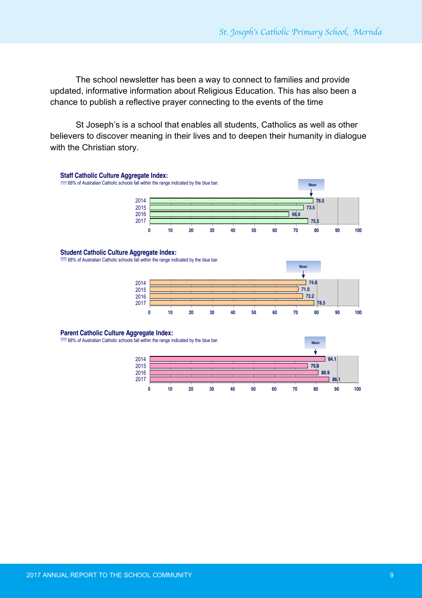The school newsletter has been a way to connect to families and provide updated, informative information about Religious Education. This has also been a chance to publish a reflective prayer connecting to the events of the time

St Joseph's is a school that enables all students, Catholics as well as other believers to discover meaning in their lives and to deepen their humanity in dialogue with the Christian story. Aggregate indices provide a high-level picture of your school of your school of your school



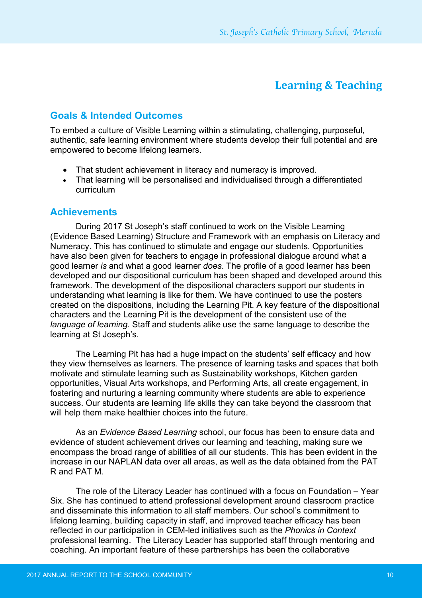## **Learning & Teaching**

### **Goals & Intended Outcomes**

To embed a culture of Visible Learning within a stimulating, challenging, purposeful, authentic, safe learning environment where students develop their full potential and are empowered to become lifelong learners.

- That student achievement in literacy and numeracy is improved.
- That learning will be personalised and individualised through a differentiated curriculum

#### **Achievements**

During 2017 St Joseph's staff continued to work on the Visible Learning (Evidence Based Learning) Structure and Framework with an emphasis on Literacy and Numeracy. This has continued to stimulate and engage our students. Opportunities have also been given for teachers to engage in professional dialogue around what a good learner *is* and what a good learner *does*. The profile of a good learner has been developed and our dispositional curriculum has been shaped and developed around this framework. The development of the dispositional characters support our students in understanding what learning is like for them. We have continued to use the posters created on the dispositions, including the Learning Pit. A key feature of the dispositional characters and the Learning Pit is the development of the consistent use of the *language of learning*. Staff and students alike use the same language to describe the learning at St Joseph's.

The Learning Pit has had a huge impact on the students' self efficacy and how they view themselves as learners. The presence of learning tasks and spaces that both motivate and stimulate learning such as Sustainability workshops, Kitchen garden opportunities, Visual Arts workshops, and Performing Arts, all create engagement, in fostering and nurturing a learning community where students are able to experience success. Our students are learning life skills they can take beyond the classroom that will help them make healthier choices into the future.

As an *Evidence Based Learning* school, our focus has been to ensure data and evidence of student achievement drives our learning and teaching, making sure we encompass the broad range of abilities of all our students. This has been evident in the increase in our NAPLAN data over all areas, as well as the data obtained from the PAT R and PAT M.

The role of the Literacy Leader has continued with a focus on Foundation – Year Six. She has continued to attend professional development around classroom practice and disseminate this information to all staff members. Our school's commitment to lifelong learning, building capacity in staff, and improved teacher efficacy has been reflected in our participation in CEM-led initiatives such as the *Phonics in Context* professional learning. The Literacy Leader has supported staff through mentoring and coaching. An important feature of these partnerships has been the collaborative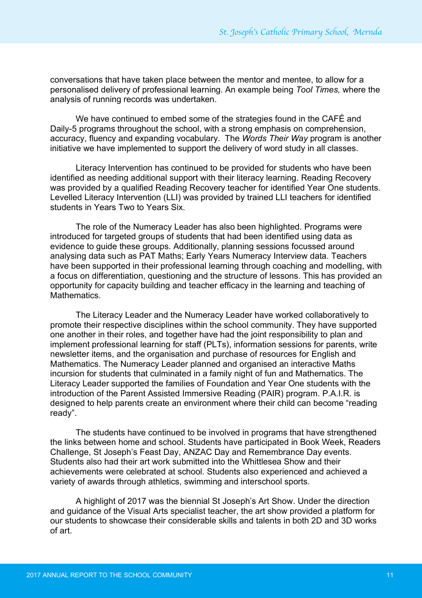conversations that have taken place between the mentor and mentee, to allow for a personalised delivery of professional learning. An example being *Tool Times,* where the analysis of running records was undertaken.

We have continued to embed some of the strategies found in the CAFÉ and Daily-5 programs throughout the school, with a strong emphasis on comprehension, accuracy, fluency and expanding vocabulary. The *Words Their Way* program is another initiative we have implemented to support the delivery of word study in all classes.

Literacy Intervention has continued to be provided for students who have been identified as needing additional support with their literacy learning. Reading Recovery was provided by a qualified Reading Recovery teacher for identified Year One students. Levelled Literacy Intervention (LLI) was provided by trained LLI teachers for identified students in Years Two to Years Six.

The role of the Numeracy Leader has also been highlighted. Programs were introduced for targeted groups of students that had been identified using data as evidence to guide these groups. Additionally, planning sessions focussed around analysing data such as PAT Maths; Early Years Numeracy Interview data. Teachers have been supported in their professional learning through coaching and modelling, with a focus on differentiation, questioning and the structure of lessons. This has provided an opportunity for capacity building and teacher efficacy in the learning and teaching of Mathematics.

The Literacy Leader and the Numeracy Leader have worked collaboratively to promote their respective disciplines within the school community. They have supported one another in their roles, and together have had the joint responsibility to plan and implement professional learning for staff (PLTs), information sessions for parents, write newsletter items, and the organisation and purchase of resources for English and Mathematics. The Numeracy Leader planned and organised an interactive Maths incursion for students that culminated in a family night of fun and Mathematics. The Literacy Leader supported the families of Foundation and Year One students with the introduction of the Parent Assisted Immersive Reading (PAIR) program. P.A.I.R. is designed to help parents create an environment where their child can become "reading ready".

The students have continued to be involved in programs that have strengthened the links between home and school. Students have participated in Book Week, Readers Challenge, St Joseph's Feast Day, ANZAC Day and Remembrance Day events. Students also had their art work submitted into the Whittlesea Show and their achievements were celebrated at school. Students also experienced and achieved a variety of awards through athletics, swimming and interschool sports.

A highlight of 2017 was the biennial St Joseph's Art Show. Under the direction and guidance of the Visual Arts specialist teacher, the art show provided a platform for our students to showcase their considerable skills and talents in both 2D and 3D works of art.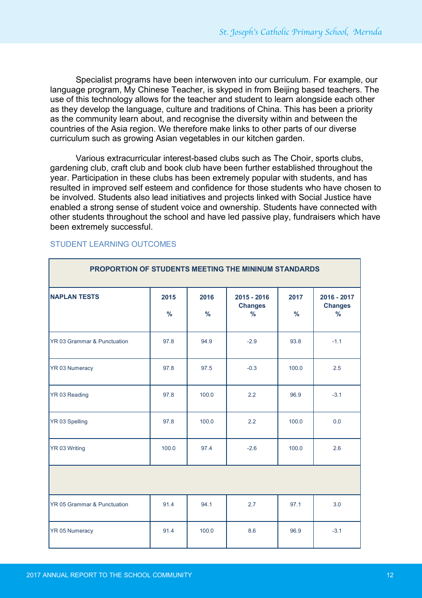Specialist programs have been interwoven into our curriculum. For example, our language program, My Chinese Teacher, is skyped in from Beijing based teachers. The use of this technology allows for the teacher and student to learn alongside each other as they develop the language, culture and traditions of China. This has been a priority as the community learn about, and recognise the diversity within and between the countries of the Asia region. We therefore make links to other parts of our diverse curriculum such as growing Asian vegetables in our kitchen garden.

Various extracurricular interest-based clubs such as The Choir, sports clubs, gardening club, craft club and book club have been further established throughout the year. Participation in these clubs has been extremely popular with students, and has resulted in improved self esteem and confidence for those students who have chosen to be involved. Students also lead initiatives and projects linked with Social Justice have enabled a strong sense of student voice and ownership. Students have connected with other students throughout the school and have led passive play, fundraisers which have been extremely successful.

| PROPORTION OF STUDENTS MEETING THE MININUM STANDARDS |                       |                       |                                                  |                       |                                                |
|------------------------------------------------------|-----------------------|-----------------------|--------------------------------------------------|-----------------------|------------------------------------------------|
| <b>NAPLAN TESTS</b>                                  | 2015<br>$\frac{9}{6}$ | 2016<br>$\frac{0}{0}$ | $2015 - 2016$<br><b>Changes</b><br>$\frac{0}{6}$ | 2017<br>$\frac{0}{6}$ | 2016 - 2017<br><b>Changes</b><br>$\frac{9}{6}$ |
| YR 03 Grammar & Punctuation                          | 97.8                  | 94.9                  | $-2.9$                                           | 93.8                  | $-1.1$                                         |
| YR 03 Numeracy                                       | 97.8                  | 97.5                  | $-0.3$                                           | 100.0                 | 2.5                                            |
| YR 03 Reading                                        | 97.8                  | 100.0                 | 2.2                                              | 96.9                  | $-3.1$                                         |
| YR 03 Spelling                                       | 97.8                  | 100.0                 | 2.2                                              | 100.0                 | 0.0                                            |
| YR 03 Writing                                        | 100.0                 | 97.4                  | $-2.6$                                           | 100.0                 | 2.6                                            |
|                                                      |                       |                       |                                                  |                       |                                                |
| YR 05 Grammar & Punctuation                          | 91.4                  | 94.1                  | 2.7                                              | 97.1                  | 3.0                                            |
| YR 05 Numeracy                                       | 91.4                  | 100.0                 | 8.6                                              | 96.9                  | $-3.1$                                         |

#### STUDENT LEARNING OUTCOMES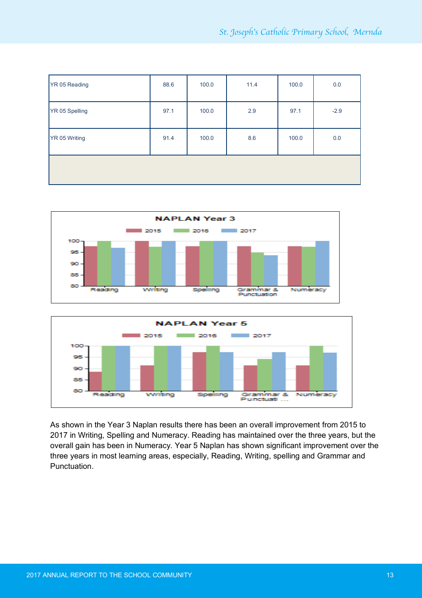| YR 05 Reading  | 88.6 | 100.0 | 11.4 | 100.0 | 0.0    |
|----------------|------|-------|------|-------|--------|
| YR 05 Spelling | 97.1 | 100.0 | 2.9  | 97.1  | $-2.9$ |
| YR 05 Writing  | 91.4 | 100.0 | 8.6  | 100.0 | 0.0    |
|                |      |       |      |       |        |





As shown in the Year 3 Naplan results there has been an overall improvement from 2015 to 2017 in Writing, Spelling and Numeracy. Reading has maintained over the three years, but the overall gain has been in Numeracy. Year 5 Naplan has shown significant improvement over the three years in most learning areas, especially, Reading, Writing, spelling and Grammar and Punctuation.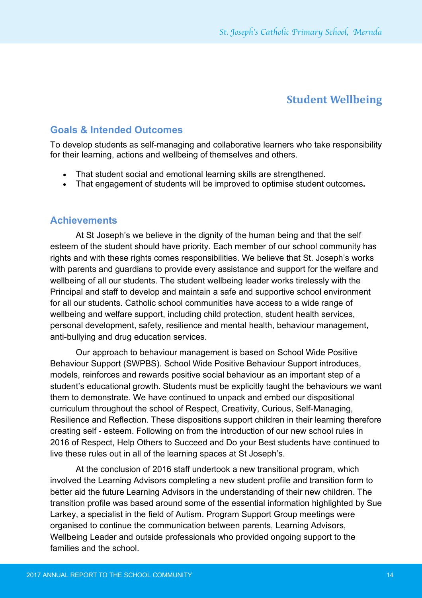## **Student Wellbeing**

#### **Goals & Intended Outcomes**

To develop students as self-managing and collaborative learners who take responsibility for their learning, actions and wellbeing of themselves and others.

- That student social and emotional learning skills are strengthened.
- That engagement of students will be improved to optimise student outcomes**.**

#### **Achievements**

At St Joseph's we believe in the dignity of the human being and that the self esteem of the student should have priority. Each member of our school community has rights and with these rights comes responsibilities. We believe that St. Joseph's works with parents and guardians to provide every assistance and support for the welfare and wellbeing of all our students. The student wellbeing leader works tirelessly with the Principal and staff to develop and maintain a safe and supportive school environment for all our students. Catholic school communities have access to a wide range of wellbeing and welfare support, including child protection, student health services, personal development, safety, resilience and mental health, behaviour management, anti-bullying and drug education services.

Our approach to behaviour management is based on School Wide Positive Behaviour Support (SWPBS). School Wide Positive Behaviour Support introduces, models, reinforces and rewards positive social behaviour as an important step of a student's educational growth. Students must be explicitly taught the behaviours we want them to demonstrate. We have continued to unpack and embed our dispositional curriculum throughout the school of Respect, Creativity, Curious, Self-Managing, Resilience and Reflection. These dispositions support children in their learning therefore creating self - esteem. Following on from the introduction of our new school rules in 2016 of Respect, Help Others to Succeed and Do your Best students have continued to live these rules out in all of the learning spaces at St Joseph's.

At the conclusion of 2016 staff undertook a new transitional program, which involved the Learning Advisors completing a new student profile and transition form to better aid the future Learning Advisors in the understanding of their new children. The transition profile was based around some of the essential information highlighted by Sue Larkey, a specialist in the field of Autism. Program Support Group meetings were organised to continue the communication between parents, Learning Advisors, Wellbeing Leader and outside professionals who provided ongoing support to the families and the school.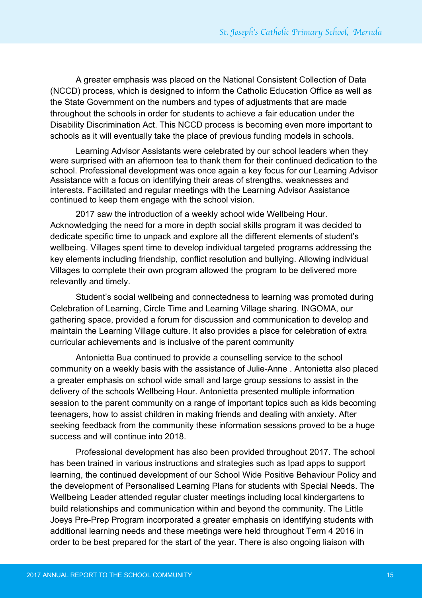A greater emphasis was placed on the National Consistent Collection of Data (NCCD) process, which is designed to inform the Catholic Education Office as well as the State Government on the numbers and types of adjustments that are made throughout the schools in order for students to achieve a fair education under the Disability Discrimination Act. This NCCD process is becoming even more important to schools as it will eventually take the place of previous funding models in schools.

Learning Advisor Assistants were celebrated by our school leaders when they were surprised with an afternoon tea to thank them for their continued dedication to the school. Professional development was once again a key focus for our Learning Advisor Assistance with a focus on identifying their areas of strengths, weaknesses and interests. Facilitated and regular meetings with the Learning Advisor Assistance continued to keep them engage with the school vision.

2017 saw the introduction of a weekly school wide Wellbeing Hour. Acknowledging the need for a more in depth social skills program it was decided to dedicate specific time to unpack and explore all the different elements of student's wellbeing. Villages spent time to develop individual targeted programs addressing the key elements including friendship, conflict resolution and bullying. Allowing individual Villages to complete their own program allowed the program to be delivered more relevantly and timely.

Student's social wellbeing and connectedness to learning was promoted during Celebration of Learning, Circle Time and Learning Village sharing. INGOMA, our gathering space, provided a forum for discussion and communication to develop and maintain the Learning Village culture. It also provides a place for celebration of extra curricular achievements and is inclusive of the parent community

Antonietta Bua continued to provide a counselling service to the school community on a weekly basis with the assistance of Julie-Anne . Antonietta also placed a greater emphasis on school wide small and large group sessions to assist in the delivery of the schools Wellbeing Hour. Antonietta presented multiple information session to the parent community on a range of important topics such as kids becoming teenagers, how to assist children in making friends and dealing with anxiety. After seeking feedback from the community these information sessions proved to be a huge success and will continue into 2018.

Professional development has also been provided throughout 2017. The school has been trained in various instructions and strategies such as Ipad apps to support learning, the continued development of our School Wide Positive Behaviour Policy and the development of Personalised Learning Plans for students with Special Needs. The Wellbeing Leader attended regular cluster meetings including local kindergartens to build relationships and communication within and beyond the community. The Little Joeys Pre-Prep Program incorporated a greater emphasis on identifying students with additional learning needs and these meetings were held throughout Term 4 2016 in order to be best prepared for the start of the year. There is also ongoing liaison with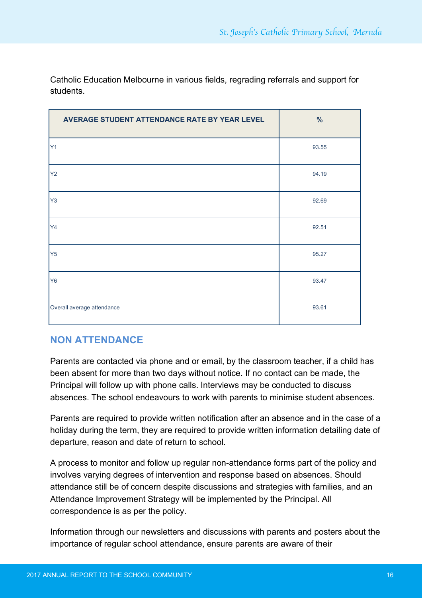| AVERAGE STUDENT ATTENDANCE RATE BY YEAR LEVEL | $\%$  |
|-----------------------------------------------|-------|
| Y <sub>1</sub>                                | 93.55 |
| <b>Y2</b>                                     | 94.19 |
| Y <sub>3</sub>                                | 92.69 |
| Y4                                            | 92.51 |
| Y5                                            | 95.27 |
| <b>Y6</b>                                     | 93.47 |
| Overall average attendance                    | 93.61 |

Catholic Education Melbourne in various fields, regrading referrals and support for students.

## **NON ATTENDANCE**

Parents are contacted via phone and or email, by the classroom teacher, if a child has been absent for more than two days without notice. If no contact can be made, the Principal will follow up with phone calls. Interviews may be conducted to discuss absences. The school endeavours to work with parents to minimise student absences.

Parents are required to provide written notification after an absence and in the case of a holiday during the term, they are required to provide written information detailing date of departure, reason and date of return to school.

A process to monitor and follow up regular non-attendance forms part of the policy and involves varying degrees of intervention and response based on absences. Should attendance still be of concern despite discussions and strategies with families, and an Attendance Improvement Strategy will be implemented by the Principal. All correspondence is as per the policy.

Information through our newsletters and discussions with parents and posters about the importance of regular school attendance, ensure parents are aware of their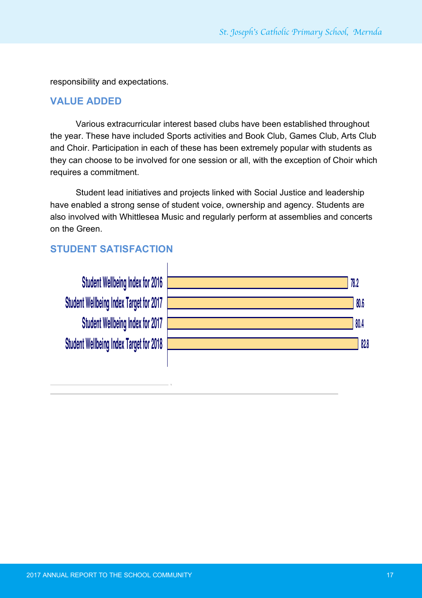responsibility and expectations.

#### **VALUE ADDED Organisational Climate Index Target for 2017**

Various extracurricular interest based clubs have been established throughout **58.0 Organisational Climate Index for 2017** the year. These have included Sports activities and Book Club, Games Club, Arts Club and Choir. Participation in each of these has been extremely popular with students as they can choose to be involved for one session or all, with the exception of Choir which requires a commitment.

Student lead initiatives and projects linked with Social Justice and leadership have enabled a strong sense of student voice, ownership and agency. Students are also involved with Whittlesea Music and regularly perform at assemblies and concerts on the Green.

## **STUDENT SATISFACTION**

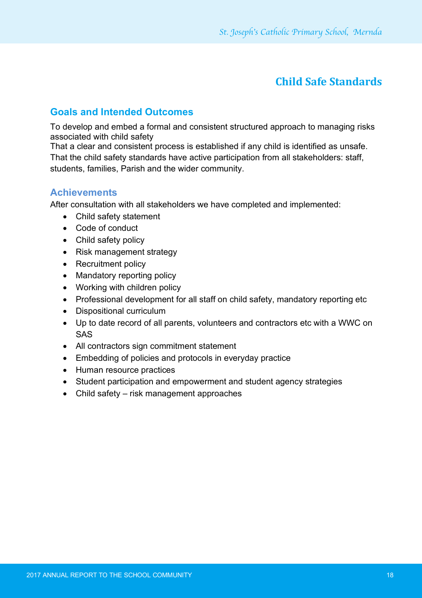# **Child Safe Standards**

## **Goals and Intended Outcomes**

To develop and embed a formal and consistent structured approach to managing risks associated with child safety

That a clear and consistent process is established if any child is identified as unsafe. That the child safety standards have active participation from all stakeholders: staff, students, families, Parish and the wider community.

## **Achievements**

After consultation with all stakeholders we have completed and implemented:

- Child safety statement
- Code of conduct
- Child safety policy
- Risk management strategy
- Recruitment policy
- Mandatory reporting policy
- Working with children policy
- Professional development for all staff on child safety, mandatory reporting etc
- Dispositional curriculum
- Up to date record of all parents, volunteers and contractors etc with a WWC on SAS
- All contractors sign commitment statement
- Embedding of policies and protocols in everyday practice
- Human resource practices
- Student participation and empowerment and student agency strategies
- Child safety risk management approaches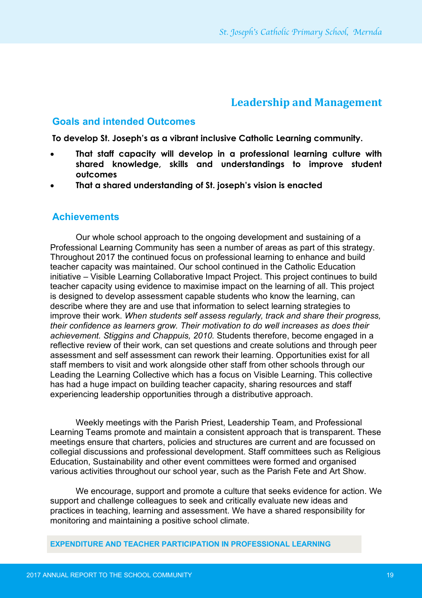## **Leadership and Management**

#### **Goals and intended Outcomes**

**To develop St. Joseph's as a vibrant inclusive Catholic Learning community.** 

- **That staff capacity will develop in a professional learning culture with shared knowledge, skills and understandings to improve student outcomes**
- **That a shared understanding of St. joseph's vision is enacted**

#### **Achievements**

Our whole school approach to the ongoing development and sustaining of a Professional Learning Community has seen a number of areas as part of this strategy. Throughout 2017 the continued focus on professional learning to enhance and build teacher capacity was maintained. Our school continued in the Catholic Education initiative – Visible Learning Collaborative Impact Project. This project continues to build teacher capacity using evidence to maximise impact on the learning of all. This project is designed to develop assessment capable students who know the learning, can describe where they are and use that information to select learning strategies to improve their work. *When students self assess regularly, track and share their progress, their confidence as learners grow. Their motivation to do well increases as does their achievement. Stiggins and Chappuis, 2010.* Students therefore, become engaged in a reflective review of their work, can set questions and create solutions and through peer assessment and self assessment can rework their learning. Opportunities exist for all staff members to visit and work alongside other staff from other schools through our Leading the Learning Collective which has a focus on Visible Learning. This collective has had a huge impact on building teacher capacity, sharing resources and staff experiencing leadership opportunities through a distributive approach.

Weekly meetings with the Parish Priest, Leadership Team, and Professional Learning Teams promote and maintain a consistent approach that is transparent. These meetings ensure that charters, policies and structures are current and are focussed on collegial discussions and professional development. Staff committees such as Religious Education, Sustainability and other event committees were formed and organised various activities throughout our school year, such as the Parish Fete and Art Show.

We encourage, support and promote a culture that seeks evidence for action. We support and challenge colleagues to seek and critically evaluate new ideas and practices in teaching, learning and assessment. We have a shared responsibility for monitoring and maintaining a positive school climate.

**EXPENDITURE AND TEACHER PARTICIPATION IN PROFESSIONAL LEARNING**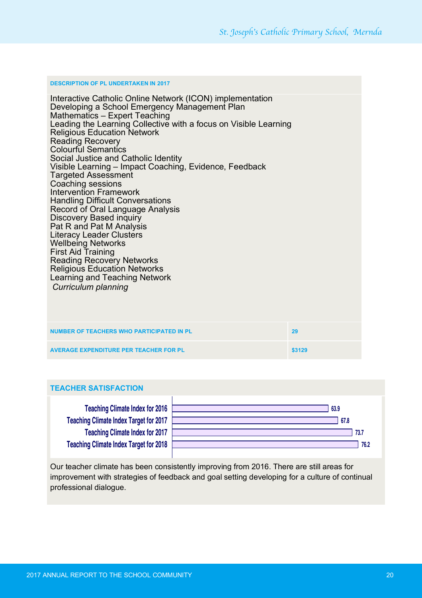#### **DESCRIPTION OF PL UNDERTAKEN IN 2017**

Interactive Catholic Online Network (ICON) implementation<br>Developing a School Emergency Management Plan<br>Mathematics – Expert Teaching • Leading the Learning Collective with a focus on Visible Learning • Religious Education Network **Reading Recovery** • Colourful Semantics • Social Justice and Catholic Identity • Visible Learning – Impact Coaching, Evidence, Feedback • Targeted Assessment • Coaching sessions • Intervention Framework • Handling Difficult Conversations • Record of Oral Language Analysis • Discovery Based inquiry Pat R and Pat M Analysis • Literacy Leader Clusters **2018 improvement targets …** • Wellbeing Networks • First Aid Training • Reading Recovery Networks • Religious Education Networks **The assist schools in developing and Teaching Network** and targets for 2018, the following broad recommended to support the following broad recommended in provided to support the following targets are provided to support **Curriculum planning** processes. This graph shows you in your school in your school in your school in your school

| NUMBER OF TEACHERS WHO PARTICIPATED IN PL     | 29     |
|-----------------------------------------------|--------|
| <b>AVERAGE EXPENDITURE PER TEACHER FOR PL</b> | \$3129 |

#### **TEACHER SATISFACTION**

**Teaching Climate Index Target for 2018 Teaching Climate Index for 2017 Teaching Climate Index Target for 2017 Teaching Climate Index for 2016**



Our teacher climate has been consistently improving from 2016. There are still areas for improvement with strategies of feedback and goal setting developing for a culture of continual professional dialogue. **Student Wellbeing Index for 2017**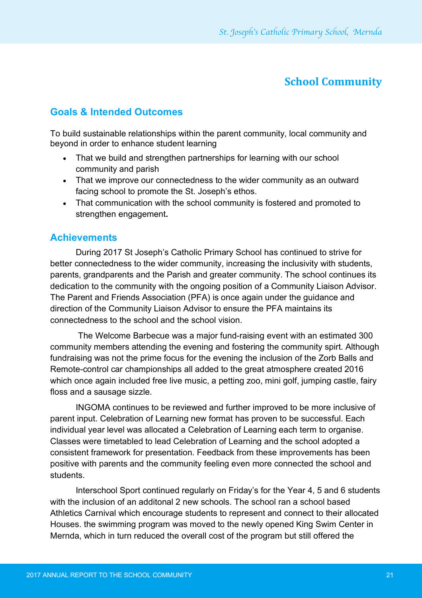# **School Community**

## **Goals & Intended Outcomes**

To build sustainable relationships within the parent community, local community and beyond in order to enhance student learning

- That we build and strengthen partnerships for learning with our school community and parish
- That we improve our connectedness to the wider community as an outward facing school to promote the St. Joseph's ethos.
- That communication with the school community is fostered and promoted to strengthen engagement**.**

#### **Achievements**

During 2017 St Joseph's Catholic Primary School has continued to strive for better connectedness to the wider community, increasing the inclusivity with students, parents, grandparents and the Parish and greater community. The school continues its dedication to the community with the ongoing position of a Community Liaison Advisor. The Parent and Friends Association (PFA) is once again under the guidance and direction of the Community Liaison Advisor to ensure the PFA maintains its connectedness to the school and the school vision.

The Welcome Barbecue was a major fund-raising event with an estimated 300 community members attending the evening and fostering the community spirt. Although fundraising was not the prime focus for the evening the inclusion of the Zorb Balls and Remote-control car championships all added to the great atmosphere created 2016 which once again included free live music, a petting zoo, mini golf, jumping castle, fairy floss and a sausage sizzle.

INGOMA continues to be reviewed and further improved to be more inclusive of parent input. Celebration of Learning new format has proven to be successful. Each individual year level was allocated a Celebration of Learning each term to organise. Classes were timetabled to lead Celebration of Learning and the school adopted a consistent framework for presentation. Feedback from these improvements has been positive with parents and the community feeling even more connected the school and students.

Interschool Sport continued regularly on Friday's for the Year 4, 5 and 6 students with the inclusion of an additonal 2 new schools. The school ran a school based Athletics Carnival which encourage students to represent and connect to their allocated Houses. the swimming program was moved to the newly opened King Swim Center in Mernda, which in turn reduced the overall cost of the program but still offered the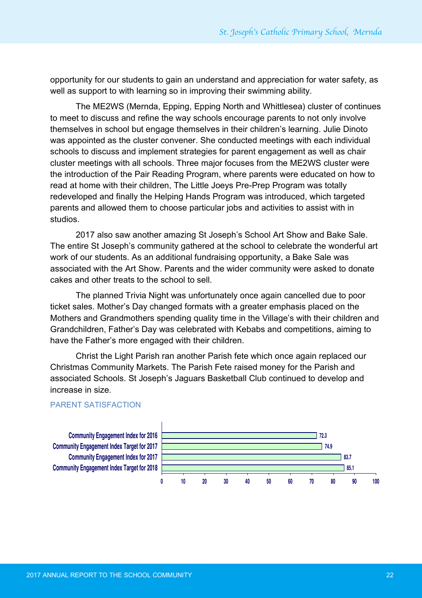opportunity for our students to gain an understand and appreciation for water safety, as well as support to with learning so in improving their swimming ability.

The ME2WS (Mernda, Epping, Epping North and Whittlesea) cluster of continues to meet to discuss and refine the way schools encourage parents to not only involve themselves in school but engage themselves in their children's learning. Julie Dinoto was appointed as the cluster convener. She conducted meetings with each individual schools to discuss and implement strategies for parent engagement as well as chair cluster meetings with all schools. Three major focuses from the ME2WS cluster were diactor modurigo with all conceler. Three major receded from the ME2TVC stactor were the introduction of the Pair Reading Program, where parents were educated on how to read at home with their children, The Little Joeys Pre-Prep Program was totally redeveloped and finally the Helping Hands Program was introduced, which targeted parents and allowed them to choose particular jobs and activities to assist with in studios. your school in your school in your school indices from 2016, the target for 2016, the target for 2016, the target for 2017, the target for 2017, the target for 2017, the target for 2017, the target for 2017, the target for

2017 also saw another amazing St Joseph's School Art Show and Bake Sale. The entire St Joseph's community gathered at the school to celebrate the wonderful art work of our students. As an additional fundraising opportunity, a Bake Sale was associated with the Art Show. Parents and the wider community were asked to donate cakes and other treats to the school to sell.

The planned Trivia Night was unfortunately once again cancelled due to poor **58.0 Organisational Climate Index for 2017** ticket sales. Mother's Day changed formats with a greater emphasis placed on the Mothers and Grandmothers spending quality time in the Village's with their children and Grandchildren, Father's Day was celebrated with Kebabs and competitions, aiming to have the Father's more engaged with their children.

Christ the Light Parish ran another Parish fete which once again replaced our **73.7 Teaching Climate Index for 2017** Christmas Community Markets. The Parish Fete raised money for the Parish and associated Schools. St Joseph's Jaguars Basketball Club continued to develop and **78.2 Student Wellbeing Index for 2016** increase in size.

#### PARENT SATISFACTION **Student Wellbeing Index for 2017**

**85.1 83.7 74.9 72.3 0 10 20 30 40 50 60 70 80 90 100 Community Engagement Index Target for 2018 Community Engagement Index for 2017 Community Engagement Index Target for 2017 Community Engagement Index for 2016**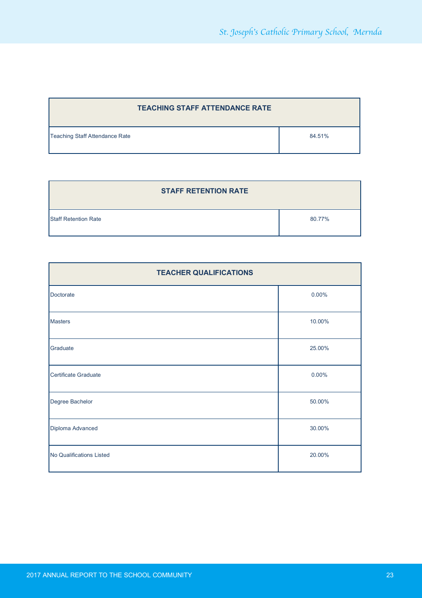| <b>TEACHING STAFF ATTENDANCE RATE</b> |        |  |
|---------------------------------------|--------|--|
| Teaching Staff Attendance Rate        | 84.51% |  |

| <b>STAFF RETENTION RATE</b> |        |
|-----------------------------|--------|
| <b>Staff Retention Rate</b> | 80.77% |

| <b>TEACHER QUALIFICATIONS</b> |          |  |  |
|-------------------------------|----------|--|--|
| Doctorate                     | $0.00\%$ |  |  |
| <b>Masters</b>                | 10.00%   |  |  |
| Graduate                      | 25.00%   |  |  |
| Certificate Graduate          | $0.00\%$ |  |  |
| Degree Bachelor               | 50.00%   |  |  |
| Diploma Advanced              | 30.00%   |  |  |
| No Qualifications Listed      | 20.00%   |  |  |